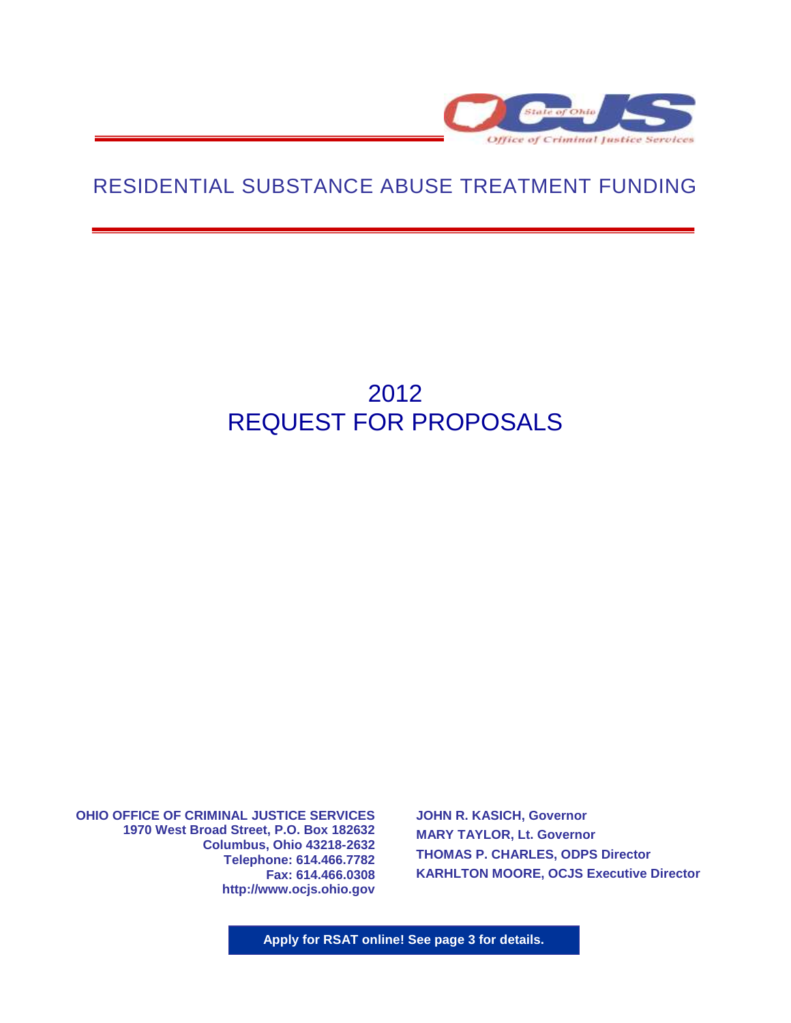

# RESIDENTIAL SUBSTANCE ABUSE TREATMENT FUNDING

# 2012 REQUEST FOR PROPOSALS

**OHIO OFFICE OF CRIMINAL JUSTICE SERVICES 1970 West Broad Street, P.O. Box 182632 Columbus, Ohio 43218-2632 Telephone: 614.466.7782 Fax: 614.466.0308 http://www.ocjs.ohio.gov** 

**JOHN R. KASICH, Governor MARY TAYLOR, Lt. Governor THOMAS P. CHARLES, ODPS Director KARHLTON MOORE, OCJS Executive Director**

**Apply for RSAT online! See page 3 for details.**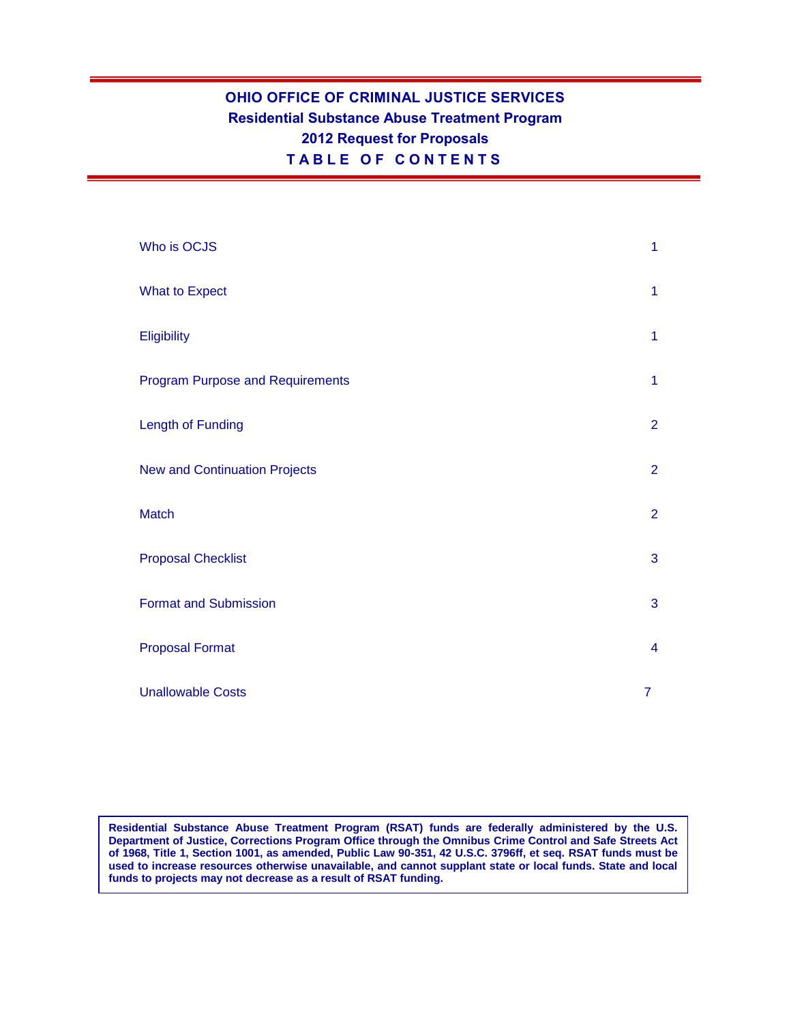# **OHIO OFFICE OF CRIMINAL JUSTICE SERVICES Residential Substance Abuse Treatment Program 2012 Request for Proposals T A B L E O F C O N T E N T S**

| Who is OCJS                             | 1                       |
|-----------------------------------------|-------------------------|
| <b>What to Expect</b>                   | $\mathbf{1}$            |
| Eligibility                             | 1                       |
| <b>Program Purpose and Requirements</b> | $\mathbf{1}$            |
| Length of Funding                       | $\overline{2}$          |
| <b>New and Continuation Projects</b>    | $\overline{2}$          |
| Match                                   | $\overline{2}$          |
| <b>Proposal Checklist</b>               | 3                       |
| <b>Format and Submission</b>            | 3                       |
| <b>Proposal Format</b>                  | $\overline{\mathbf{4}}$ |
| <b>Unallowable Costs</b>                | $\overline{7}$          |

**Residential Substance Abuse Treatment Program (RSAT) funds are federally administered by the U.S. Department of Justice, Corrections Program Office through the Omnibus Crime Control and Safe Streets Act of 1968, Title 1, Section 1001, as amended, Public Law 90-351, 42 U.S.C. 3796ff, et seq. RSAT funds must be used to increase resources otherwise unavailable, and cannot supplant state or local funds. State and local funds to projects may not decrease as a result of RSAT funding.**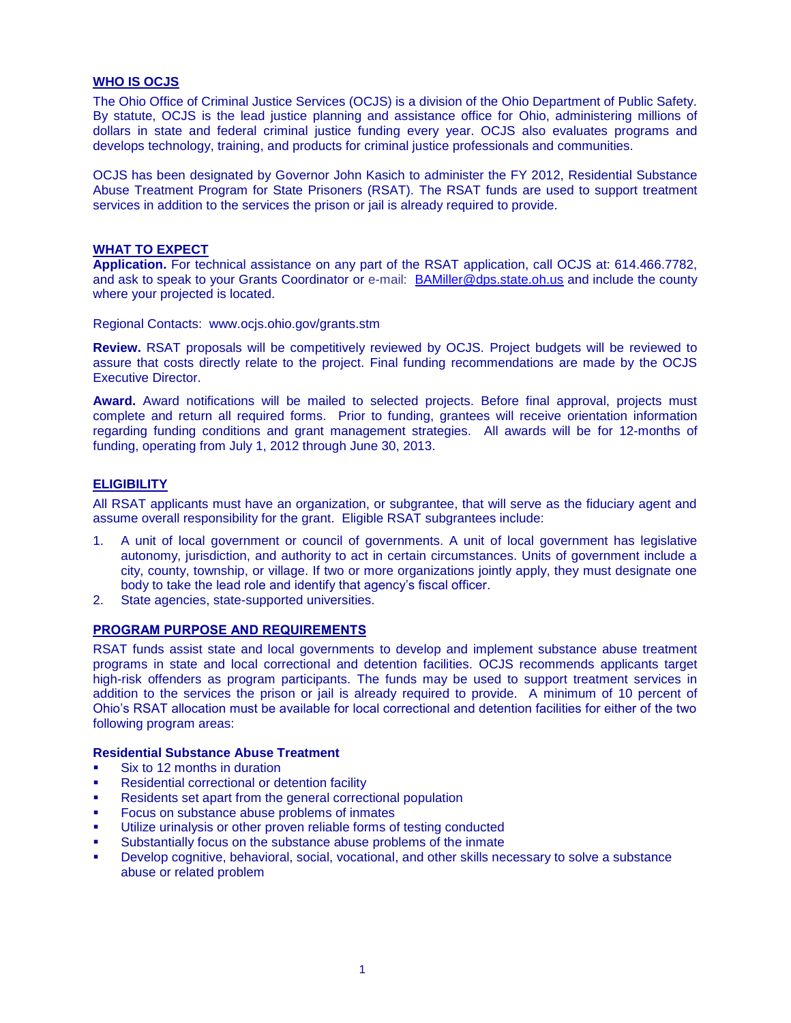# **WHO IS OCJS**

The Ohio Office of Criminal Justice Services (OCJS) is a division of the Ohio Department of Public Safety. By statute, OCJS is the lead justice planning and assistance office for Ohio, administering millions of dollars in state and federal criminal justice funding every year. OCJS also evaluates programs and develops technology, training, and products for criminal justice professionals and communities.

OCJS has been designated by Governor John Kasich to administer the FY 2012, Residential Substance Abuse Treatment Program for State Prisoners (RSAT). The RSAT funds are used to support treatment services in addition to the services the prison or jail is already required to provide.

#### **WHAT TO EXPECT**

**Application.** For technical assistance on any part of the RSAT application, call OCJS at: 614.466.7782, and ask to speak to your Grants Coordinator or e-mail: [BAMiller@dps.state.oh.us](mailto:BAMiller@dps.state.oh.us) and include the county where your projected is located.

Regional Contacts: www.ocjs.ohio.gov/grants.stm

**Review.** RSAT proposals will be competitively reviewed by OCJS. Project budgets will be reviewed to assure that costs directly relate to the project. Final funding recommendations are made by the OCJS Executive Director.

**Award.** Award notifications will be mailed to selected projects. Before final approval, projects must complete and return all required forms. Prior to funding, grantees will receive orientation information regarding funding conditions and grant management strategies. All awards will be for 12-months of funding, operating from July 1, 2012 through June 30, 2013.

# **ELIGIBILITY**

All RSAT applicants must have an organization, or subgrantee, that will serve as the fiduciary agent and assume overall responsibility for the grant. Eligible RSAT subgrantees include:

- 1. A unit of local government or council of governments. A unit of local government has legislative autonomy, jurisdiction, and authority to act in certain circumstances. Units of government include a city, county, township, or village. If two or more organizations jointly apply, they must designate one body to take the lead role and identify that agency's fiscal officer.
- 2. State agencies, state-supported universities.

#### **PROGRAM PURPOSE AND REQUIREMENTS**

RSAT funds assist state and local governments to develop and implement substance abuse treatment programs in state and local correctional and detention facilities. OCJS recommends applicants target high-risk offenders as program participants. The funds may be used to support treatment services in addition to the services the prison or jail is already required to provide. A minimum of 10 percent of Ohio's RSAT allocation must be available for local correctional and detention facilities for either of the two following program areas:

#### **Residential Substance Abuse Treatment**

- Six to 12 months in duration
- Residential correctional or detention facility
- Residents set apart from the general correctional population
- Focus on substance abuse problems of inmates
- Utilize urinalysis or other proven reliable forms of testing conducted
- Substantially focus on the substance abuse problems of the inmate
- Develop cognitive, behavioral, social, vocational, and other skills necessary to solve a substance abuse or related problem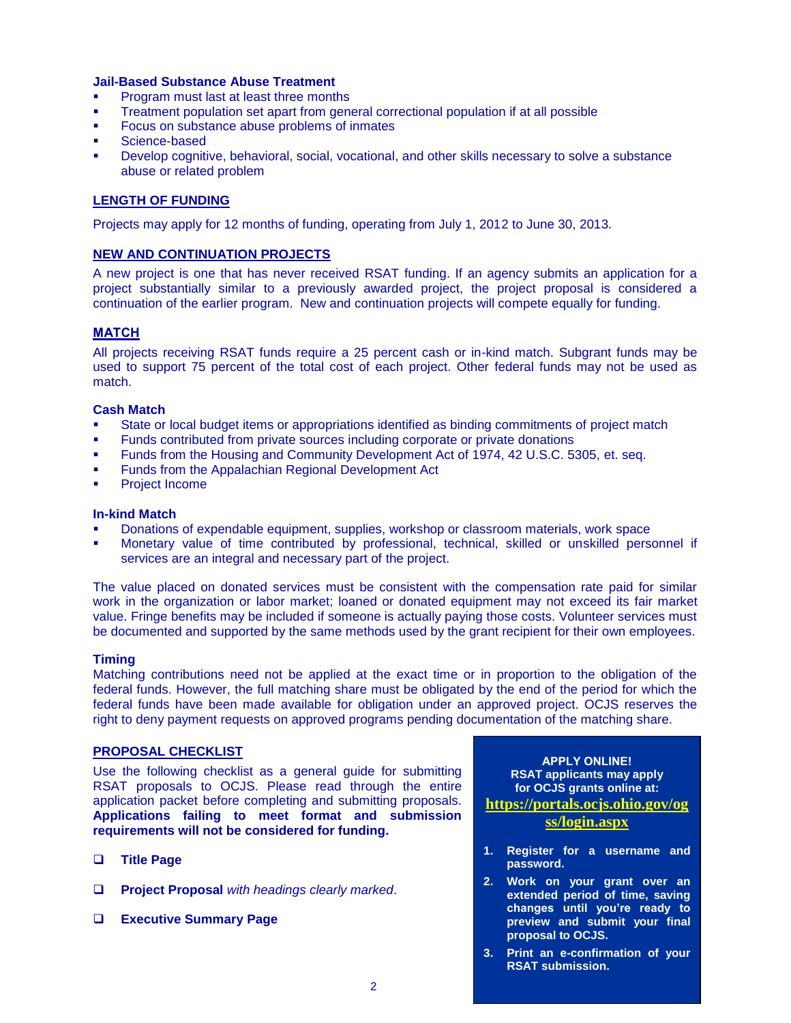### **Jail-Based Substance Abuse Treatment**

- Program must last at least three months
- Treatment population set apart from general correctional population if at all possible
- Focus on substance abuse problems of inmates
- Science-based
- Develop cognitive, behavioral, social, vocational, and other skills necessary to solve a substance abuse or related problem

# **LENGTH OF FUNDING**

Projects may apply for 12 months of funding, operating from July 1, 2012 to June 30, 2013.

### **NEW AND CONTINUATION PROJECTS**

A new project is one that has never received RSAT funding. If an agency submits an application for a project substantially similar to a previously awarded project, the project proposal is considered a continuation of the earlier program. New and continuation projects will compete equally for funding.

# **MATCH**

All projects receiving RSAT funds require a 25 percent cash or in-kind match. Subgrant funds may be used to support 75 percent of the total cost of each project. Other federal funds may not be used as match.

#### **Cash Match**

- State or local budget items or appropriations identified as binding commitments of project match
- Funds contributed from private sources including corporate or private donations
- Funds from the Housing and Community Development Act of 1974, 42 U.S.C. 5305, et. seq.
- Funds from the Appalachian Regional Development Act
- Project Income

#### **In-kind Match**

- Donations of expendable equipment, supplies, workshop or classroom materials, work space
- Monetary value of time contributed by professional, technical, skilled or unskilled personnel if services are an integral and necessary part of the project.

The value placed on donated services must be consistent with the compensation rate paid for similar work in the organization or labor market; loaned or donated equipment may not exceed its fair market value. Fringe benefits may be included if someone is actually paying those costs. Volunteer services must be documented and supported by the same methods used by the grant recipient for their own employees.

#### **Timing**

Matching contributions need not be applied at the exact time or in proportion to the obligation of the federal funds. However, the full matching share must be obligated by the end of the period for which the federal funds have been made available for obligation under an approved project. OCJS reserves the right to deny payment requests on approved programs pending documentation of the matching share.

# **PROPOSAL CHECKLIST**

Use the following checklist as a general guide for submitting RSAT proposals to OCJS. Please read through the entire application packet before completing and submitting proposals. **Applications failing to meet format and submission requirements will not be considered for funding.** 

- **Title Page**
- **Project Proposal** *with headings clearly marked*.
- **Executive Summary Page**

**APPLY ONLINE! RSAT applicants may apply for OCJS grants online at: [https://portals.ocjs.ohio.gov/og](https://portals.ocjs.ohio.gov/ogss/login.aspx)**

#### **[ss/login.aspx](https://portals.ocjs.ohio.gov/ogss/login.aspx)**

- **1. Register for a username and password.**
- **2. Work on your grant over an extended period of time, saving changes until you're ready to preview and submit your final proposal to OCJS.**
- **3. Print an e-confirmation of your RSAT submission.**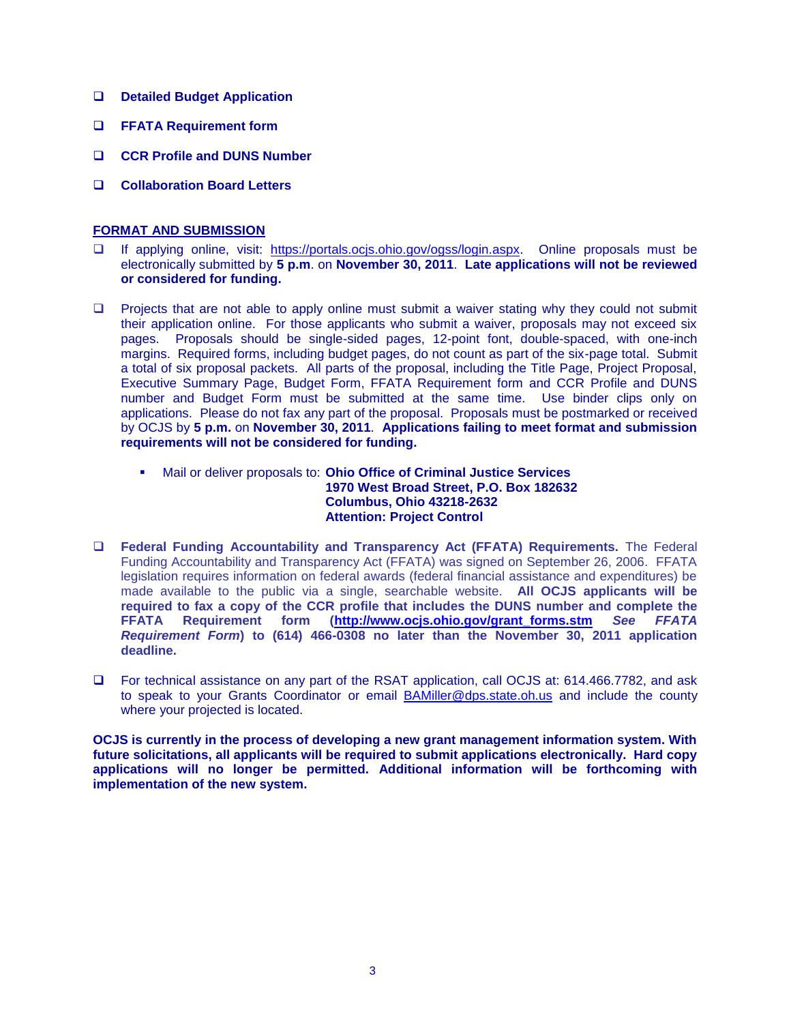- **Detailed Budget Application**
- **FFATA Requirement form**
- **CCR Profile and DUNS Number**
- **Collaboration Board Letters**

# **FORMAT AND SUBMISSION**

- If applying online, visit: [https://portals.ocjs.ohio.gov/ogss/login.aspx.](https://portals.ocjs.ohio.gov/ogss/login.aspx) Online proposals must be electronically submitted by **5 p.m**. on **November 30, 2011**. **Late applications will not be reviewed or considered for funding.**
- $\Box$  Projects that are not able to apply online must submit a waiver stating why they could not submit their application online. For those applicants who submit a waiver, proposals may not exceed six pages. Proposals should be single-sided pages, 12-point font, double-spaced, with one-inch margins. Required forms, including budget pages, do not count as part of the six-page total. Submit a total of six proposal packets. All parts of the proposal, including the Title Page, Project Proposal, Executive Summary Page, Budget Form, FFATA Requirement form and CCR Profile and DUNS number and Budget Form must be submitted at the same time. Use binder clips only on applications. Please do not fax any part of the proposal. Proposals must be postmarked or received by OCJS by **5 p.m.** on **November 30, 2011**. **Applications failing to meet format and submission requirements will not be considered for funding.**
	- Mail or deliver proposals to: **Ohio Office of Criminal Justice Services 1970 West Broad Street, P.O. Box 182632 Columbus, Ohio 43218-2632 Attention: Project Control**
- **Federal Funding Accountability and Transparency Act (FFATA) Requirements.** The Federal Funding Accountability and Transparency Act (FFATA) was signed on September 26, 2006. FFATA legislation requires information on federal awards (federal financial assistance and expenditures) be made available to the public via a single, searchable website. **All OCJS applicants will be required to fax a copy of the CCR profile that includes the DUNS number and complete the FFATA Requirement form [\(http://www.ocjs.ohio.gov/grant\\_forms.stm](http://www.ocjs.ohio.gov/grant_forms.stm)** *See FFATA Requirement Form***) to (614) 466-0308 no later than the November 30, 2011 application deadline.**
- For technical assistance on any part of the RSAT application, call OCJS at: 614.466.7782, and ask to speak to your Grants Coordinator or email [BAMiller@dps.state.oh.us](mailto:BAMiller@dps.state.oh.us) and include the county where your projected is located.

**OCJS is currently in the process of developing a new grant management information system. With future solicitations, all applicants will be required to submit applications electronically. Hard copy applications will no longer be permitted. Additional information will be forthcoming with implementation of the new system.**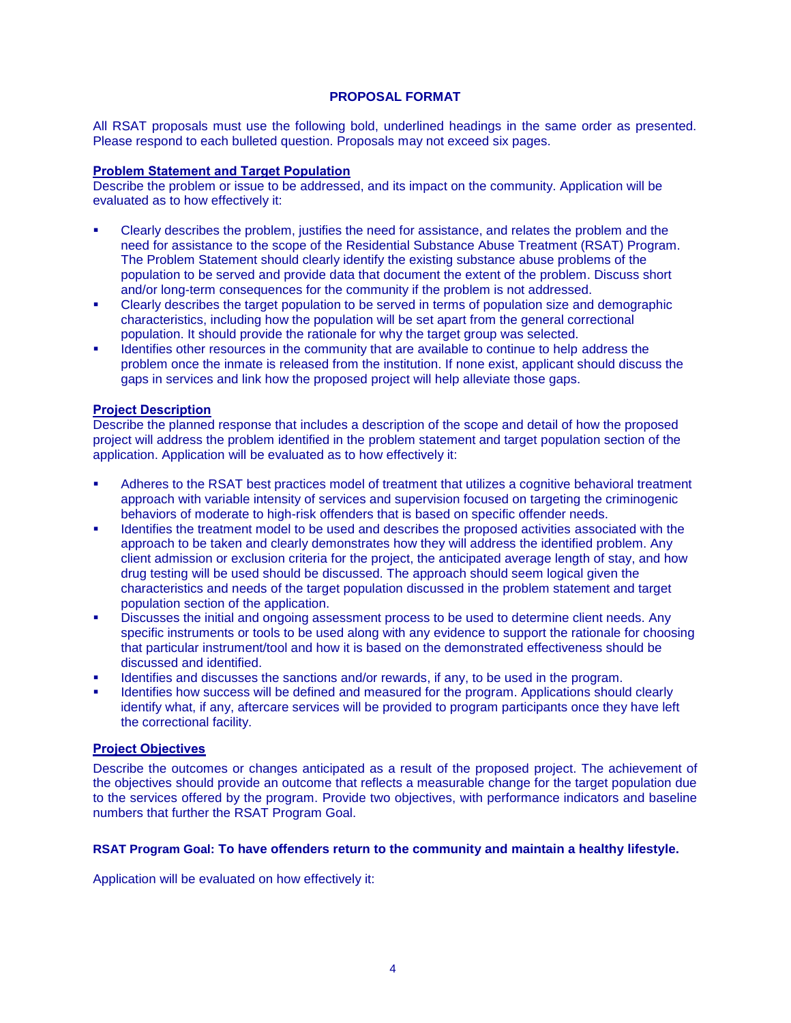# **PROPOSAL FORMAT**

All RSAT proposals must use the following bold, underlined headings in the same order as presented. Please respond to each bulleted question. Proposals may not exceed six pages.

# **Problem Statement and Target Population**

Describe the problem or issue to be addressed, and its impact on the community. Application will be evaluated as to how effectively it:

- Clearly describes the problem, justifies the need for assistance, and relates the problem and the need for assistance to the scope of the Residential Substance Abuse Treatment (RSAT) Program. The Problem Statement should clearly identify the existing substance abuse problems of the population to be served and provide data that document the extent of the problem. Discuss short and/or long-term consequences for the community if the problem is not addressed.
- Clearly describes the target population to be served in terms of population size and demographic characteristics, including how the population will be set apart from the general correctional population. It should provide the rationale for why the target group was selected.
- Identifies other resources in the community that are available to continue to help address the problem once the inmate is released from the institution. If none exist, applicant should discuss the gaps in services and link how the proposed project will help alleviate those gaps.

### **Project Description**

Describe the planned response that includes a description of the scope and detail of how the proposed project will address the problem identified in the problem statement and target population section of the application. Application will be evaluated as to how effectively it:

- Adheres to the RSAT best practices model of treatment that utilizes a cognitive behavioral treatment approach with variable intensity of services and supervision focused on targeting the criminogenic behaviors of moderate to high-risk offenders that is based on specific offender needs.
- Identifies the treatment model to be used and describes the proposed activities associated with the approach to be taken and clearly demonstrates how they will address the identified problem. Any client admission or exclusion criteria for the project, the anticipated average length of stay, and how drug testing will be used should be discussed. The approach should seem logical given the characteristics and needs of the target population discussed in the problem statement and target population section of the application.
- Discusses the initial and ongoing assessment process to be used to determine client needs. Any specific instruments or tools to be used along with any evidence to support the rationale for choosing that particular instrument/tool and how it is based on the demonstrated effectiveness should be discussed and identified.
- Identifies and discusses the sanctions and/or rewards, if any, to be used in the program.
- Identifies how success will be defined and measured for the program. Applications should clearly identify what, if any, aftercare services will be provided to program participants once they have left the correctional facility.

# **Project Objectives**

Describe the outcomes or changes anticipated as a result of the proposed project. The achievement of the objectives should provide an outcome that reflects a measurable change for the target population due to the services offered by the program. Provide two objectives, with performance indicators and baseline numbers that further the RSAT Program Goal.

# **RSAT Program Goal: To have offenders return to the community and maintain a healthy lifestyle.**

Application will be evaluated on how effectively it: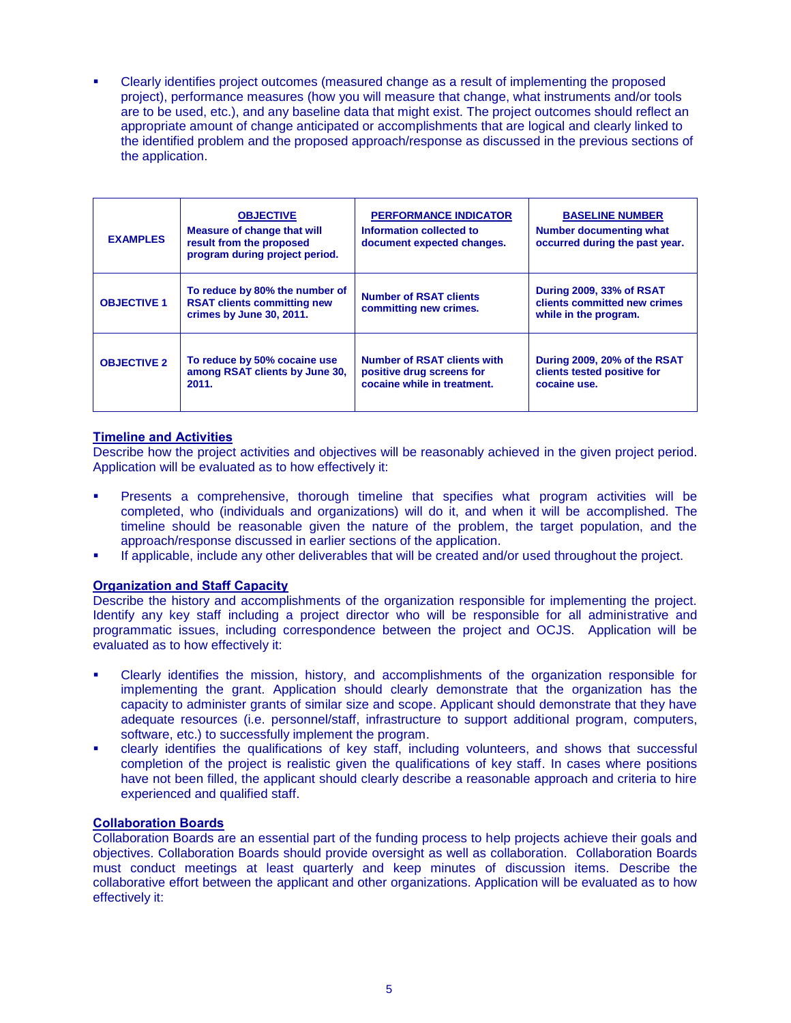Clearly identifies project outcomes (measured change as a result of implementing the proposed project), performance measures (how you will measure that change, what instruments and/or tools are to be used, etc.), and any baseline data that might exist. The project outcomes should reflect an appropriate amount of change anticipated or accomplishments that are logical and clearly linked to the identified problem and the proposed approach/response as discussed in the previous sections of the application.

| <b>EXAMPLES</b>    | <b>OBJECTIVE</b><br><b>Measure of change that will</b><br>result from the proposed<br>program during project period. | <b>PERFORMANCE INDICATOR</b><br>Information collected to<br>document expected changes.         | <b>BASELINE NUMBER</b><br>Number documenting what<br>occurred during the past year. |
|--------------------|----------------------------------------------------------------------------------------------------------------------|------------------------------------------------------------------------------------------------|-------------------------------------------------------------------------------------|
| <b>OBJECTIVE 1</b> | To reduce by 80% the number of<br><b>RSAT clients committing new</b><br>crimes by June 30, 2011.                     | <b>Number of RSAT clients</b><br>committing new crimes.                                        | During 2009, 33% of RSAT<br>clients committed new crimes<br>while in the program.   |
| <b>OBJECTIVE 2</b> | To reduce by 50% cocaine use<br>among RSAT clients by June 30,<br>2011.                                              | <b>Number of RSAT clients with</b><br>positive drug screens for<br>cocaine while in treatment. | During 2009, 20% of the RSAT<br>clients tested positive for<br>cocaine use.         |

# **Timeline and Activities**

Describe how the project activities and objectives will be reasonably achieved in the given project period. Application will be evaluated as to how effectively it:

- Presents a comprehensive, thorough timeline that specifies what program activities will be completed, who (individuals and organizations) will do it, and when it will be accomplished. The timeline should be reasonable given the nature of the problem, the target population, and the approach/response discussed in earlier sections of the application.
- If applicable, include any other deliverables that will be created and/or used throughout the project.

# **Organization and Staff Capacity**

Describe the history and accomplishments of the organization responsible for implementing the project. Identify any key staff including a project director who will be responsible for all administrative and programmatic issues, including correspondence between the project and OCJS. Application will be evaluated as to how effectively it:

- Clearly identifies the mission, history, and accomplishments of the organization responsible for implementing the grant. Application should clearly demonstrate that the organization has the capacity to administer grants of similar size and scope. Applicant should demonstrate that they have adequate resources (i.e. personnel/staff, infrastructure to support additional program, computers, software, etc.) to successfully implement the program.
- clearly identifies the qualifications of key staff, including volunteers, and shows that successful completion of the project is realistic given the qualifications of key staff. In cases where positions have not been filled, the applicant should clearly describe a reasonable approach and criteria to hire experienced and qualified staff.

# **Collaboration Boards**

Collaboration Boards are an essential part of the funding process to help projects achieve their goals and objectives. Collaboration Boards should provide oversight as well as collaboration. Collaboration Boards must conduct meetings at least quarterly and keep minutes of discussion items. Describe the collaborative effort between the applicant and other organizations. Application will be evaluated as to how effectively it: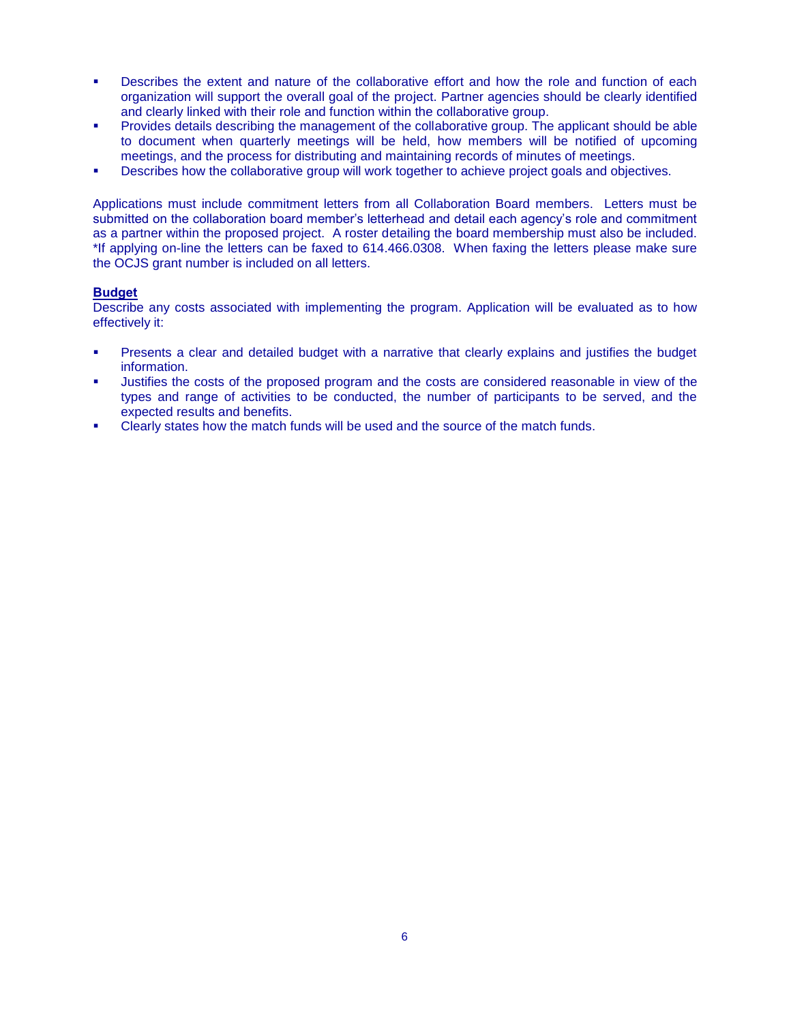- Describes the extent and nature of the collaborative effort and how the role and function of each organization will support the overall goal of the project. Partner agencies should be clearly identified and clearly linked with their role and function within the collaborative group.
- Provides details describing the management of the collaborative group. The applicant should be able to document when quarterly meetings will be held, how members will be notified of upcoming meetings, and the process for distributing and maintaining records of minutes of meetings.
- Describes how the collaborative group will work together to achieve project goals and objectives.

Applications must include commitment letters from all Collaboration Board members. Letters must be submitted on the collaboration board member's letterhead and detail each agency's role and commitment as a partner within the proposed project. A roster detailing the board membership must also be included. \*If applying on-line the letters can be faxed to 614.466.0308. When faxing the letters please make sure the OCJS grant number is included on all letters.

### **Budget**

Describe any costs associated with implementing the program. Application will be evaluated as to how effectively it:

- Presents a clear and detailed budget with a narrative that clearly explains and justifies the budget information.
- Justifies the costs of the proposed program and the costs are considered reasonable in view of the types and range of activities to be conducted, the number of participants to be served, and the expected results and benefits.
- Clearly states how the match funds will be used and the source of the match funds.